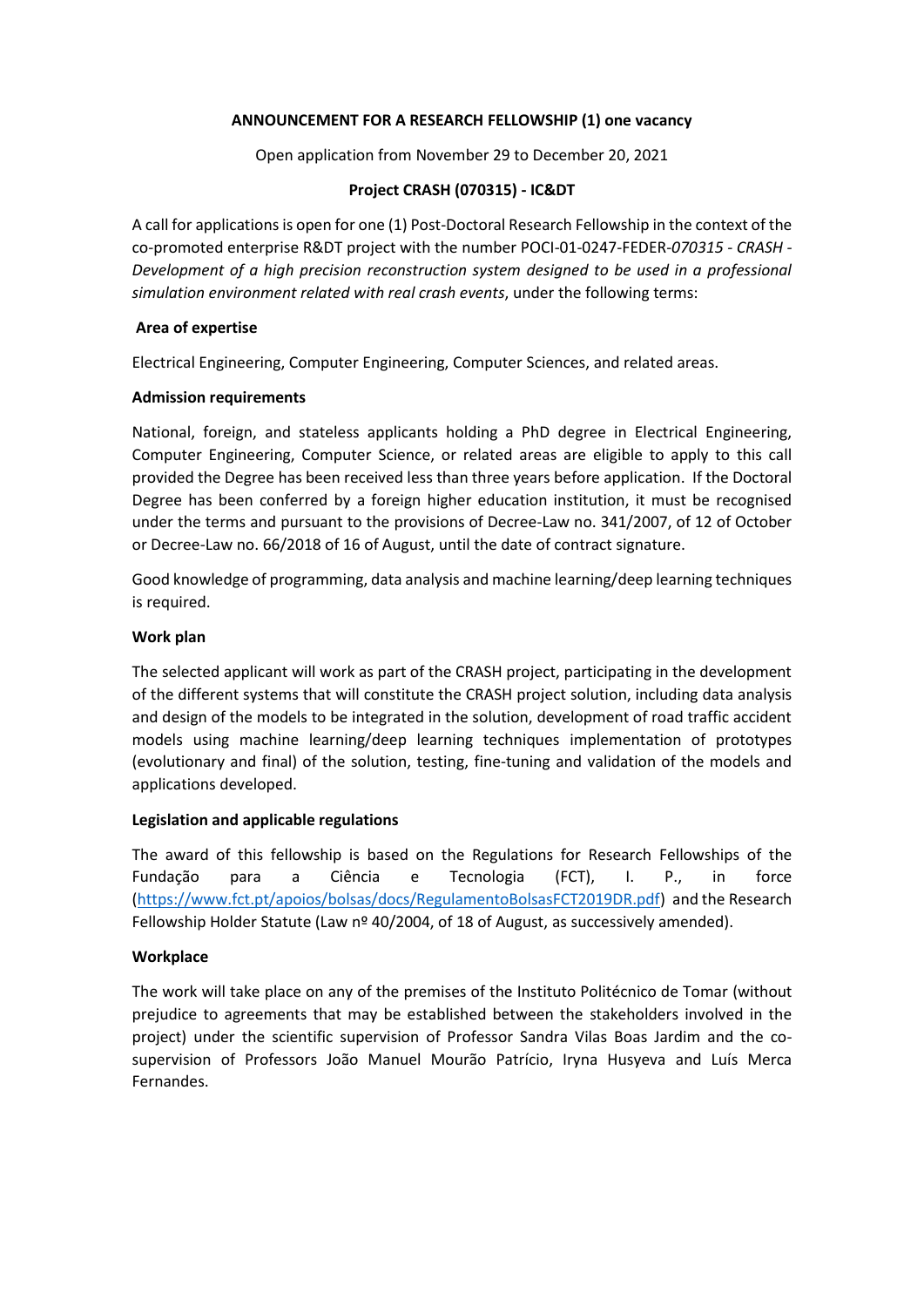#### **ANNOUNCEMENT FOR A RESEARCH FELLOWSHIP (1) one vacancy**

Open application from November 29 to December 20, 2021

### **Project CRASH (070315) - IC&DT**

A call for applications is open for one (1) Post-Doctoral Research Fellowship in the context of the co-promoted enterprise R&DT project with the number POCI-01-0247-FEDER-*070315 - CRASH - Development of a high precision reconstruction system designed to be used in a professional simulation environment related with real crash events*, under the following terms:

### **Area of expertise**

Electrical Engineering, Computer Engineering, Computer Sciences, and related areas.

### **Admission requirements**

National, foreign, and stateless applicants holding a PhD degree in Electrical Engineering, Computer Engineering, Computer Science, or related areas are eligible to apply to this call provided the Degree has been received less than three years before application. If the Doctoral Degree has been conferred by a foreign higher education institution, it must be recognised under the terms and pursuant to the provisions of Decree-Law no. 341/2007, of 12 of October or Decree-Law no. 66/2018 of 16 of August, until the date of contract signature.

Good knowledge of programming, data analysis and machine learning/deep learning techniques is required.

# **Work plan**

The selected applicant will work as part of the CRASH project, participating in the development of the different systems that will constitute the CRASH project solution, including data analysis and design of the models to be integrated in the solution, development of road traffic accident models using machine learning/deep learning techniques implementation of prototypes (evolutionary and final) of the solution, testing, fine-tuning and validation of the models and applications developed.

#### **Legislation and applicable regulations**

The award of this fellowship is based on the Regulations for Research Fellowships of the Fundação para a Ciência e Tecnologia (FCT), I. P., in force [\(https://www.fct.pt/apoios/bolsas/docs/RegulamentoBolsasFCT2019DR.pdf\)](https://www.fct.pt/apoios/bolsas/docs/RegulamentoBolsasFCT2019DR.pdf) and the Research Fellowship Holder Statute (Law  $n^{\circ}$  40/2004, of 18 of August, as successively amended).

# **Workplace**

The work will take place on any of the premises of the Instituto Politécnico de Tomar (without prejudice to agreements that may be established between the stakeholders involved in the project) under the scientific supervision of Professor Sandra Vilas Boas Jardim and the cosupervision of Professors João Manuel Mourão Patrício, Iryna Husyeva and Luís Merca Fernandes.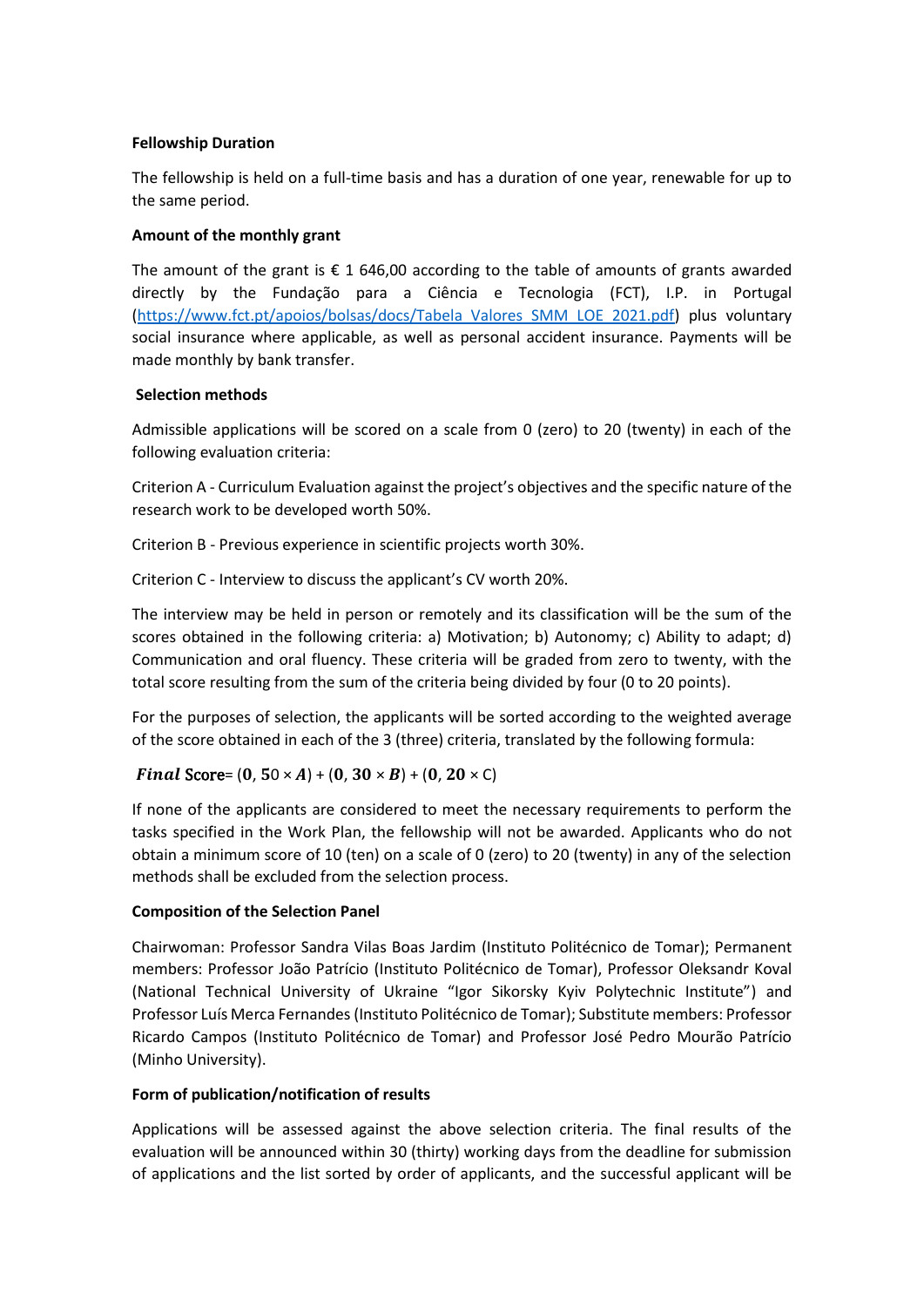### **Fellowship Duration**

The fellowship is held on a full-time basis and has a duration of one year, renewable for up to the same period.

### **Amount of the monthly grant**

The amount of the grant is  $\epsilon$  1 646,00 according to the table of amounts of grants awarded directly by the Fundação para a Ciência e Tecnologia (FCT), I.P. in Portugal [\(https://www.fct.pt/apoios/bolsas/docs/Tabela\\_Valores\\_SMM\\_LOE\\_2021.pdf\)](https://www.fct.pt/apoios/bolsas/docs/Tabela_Valores_SMM_LOE_2021.pdf) plus voluntary social insurance where applicable, as well as personal accident insurance. Payments will be made monthly by bank transfer.

### **Selection methods**

Admissible applications will be scored on a scale from 0 (zero) to 20 (twenty) in each of the following evaluation criteria:

Criterion A - Curriculum Evaluation against the project's objectives and the specific nature of the research work to be developed worth 50%.

Criterion B - Previous experience in scientific projects worth 30%.

Criterion C - Interview to discuss the applicant's CV worth 20%.

The interview may be held in person or remotely and its classification will be the sum of the scores obtained in the following criteria: a) Motivation; b) Autonomy; c) Ability to adapt; d) Communication and oral fluency. These criteria will be graded from zero to twenty, with the total score resulting from the sum of the criteria being divided by four (0 to 20 points).

For the purposes of selection, the applicants will be sorted according to the weighted average of the score obtained in each of the 3 (three) criteria, translated by the following formula:

# Final Score=  $(0.50 \times A) + (0.30 \times B) + (0.20 \times C)$

If none of the applicants are considered to meet the necessary requirements to perform the tasks specified in the Work Plan, the fellowship will not be awarded. Applicants who do not obtain a minimum score of 10 (ten) on a scale of 0 (zero) to 20 (twenty) in any of the selection methods shall be excluded from the selection process.

# **Composition of the Selection Panel**

Chairwoman: Professor Sandra Vilas Boas Jardim (Instituto Politécnico de Tomar); Permanent members: Professor João Patrício (Instituto Politécnico de Tomar), Professor Oleksandr Koval (National Technical University of Ukraine "Igor Sikorsky Kyiv Polytechnic Institute") and Professor Luís Merca Fernandes (Instituto Politécnico de Tomar); Substitute members: Professor Ricardo Campos (Instituto Politécnico de Tomar) and Professor José Pedro Mourão Patrício (Minho University).

# **Form of publication/notification of results**

Applications will be assessed against the above selection criteria. The final results of the evaluation will be announced within 30 (thirty) working days from the deadline for submission of applications and the list sorted by order of applicants, and the successful applicant will be